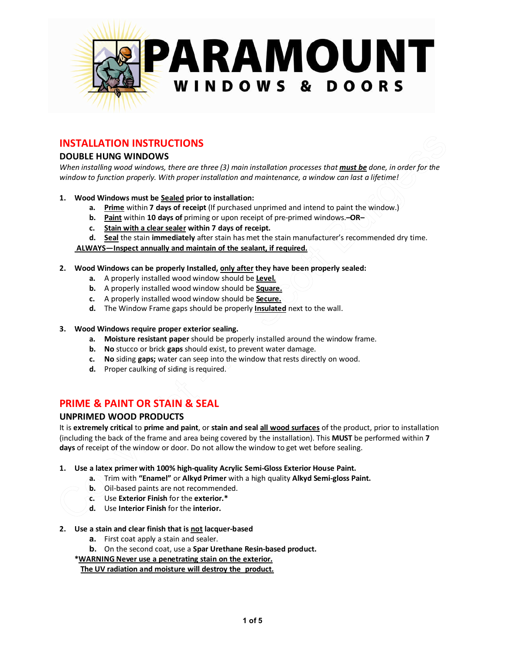

# **INSTALLATION INSTRUCTIONS**

# **DOUBLE HUNG WINDOWS**

*When installing wood windows, there are three (3) main installation processes that must be done, in order for the window to function properly. With proper installation and maintenance, a window can last a lifetime!*

# **1. Wood Windows must be Sealed prior to installation:**

- **a. Prime** within **7 days of receipt** (If purchased unprimed and intend to paint the window.)
- **b. Paint** within **10 days of** priming or upon receipt of pre-primed windows.**–OR–**
- **c. Stain with a clear sealer within 7 days of receipt.**
- **d. Seal** the stain **immediately** after stain has met the stain manufacturer's recommended dry time.

**ALWAYS— Inspect annually and maintain of the sealant, if required.**

# **2. Wood Windows can be properly Installed, only after they have been properly sealed:**

- **a.** A properly installed wood window should be **Level.**
- **b.** A properly installed wood window should be **Square.**
- **c.** A properly installed wood window should be **Secure.**
- **d.** The Window Frame gaps should be properly **Insulated** next to the wall.

### **3. Wood Windows require proper exterior sealing.**

- **a. Moisture resistant paper** should be properly installed around the window frame.
- **b. No** stucco or brick **gaps** should exist, to prevent water damage.
- **c. No** siding **gaps;** water can seep into the window that rests directly on wood.
- **d.** Proper caulking of siding is required.

# **PRIME & PAINT OR STAIN & SEAL**

# **UNPRIMED WOOD PRODUCTS**

INSTALLATION INSTRUCTIONS<br>
DOUBLE HUNG WINDOWS<br>
TOWER INVERSION TOWER (3) main installation processes that <u>must be</u> done, in order for the<br>
When installing wood windows, there are three (3) main installation,<br>
1. Wood Wi It is **extremely critical** to **prime and paint**, or **stain and seal all wood surfaces** of the product, prior to installation (including the back of the frame and area being covered by the installation). This **MUST** be performed within **7 days** of receipt of the window or door. Do not allow the window to get wet before sealing.

#### **1. Use a latex primer with 100% high-quality Acrylic Semi-Gloss Exterior House Paint.**

- **a.** Trim with **"Enamel"** or **Alkyd Primer** with a high quality **Alkyd Semi-gloss Paint.**
- **b.** Oil-based paints are not recommended.
- **c.** Use **Exterior Finish** for the **exterior.\***
- **d.** Use **Interior Finish** for the **interior.**

#### **2. Use a stain and clear finish that is not lacquer-based**

- **a.** First coat apply a stain and sealer.
- **b.** On the second coat, use a **Spar Urethane Resin-based product.**

**\*WARNING Never use a penetrating stain on the exterior.**

**The UV radiation and moisture will destroy the product.**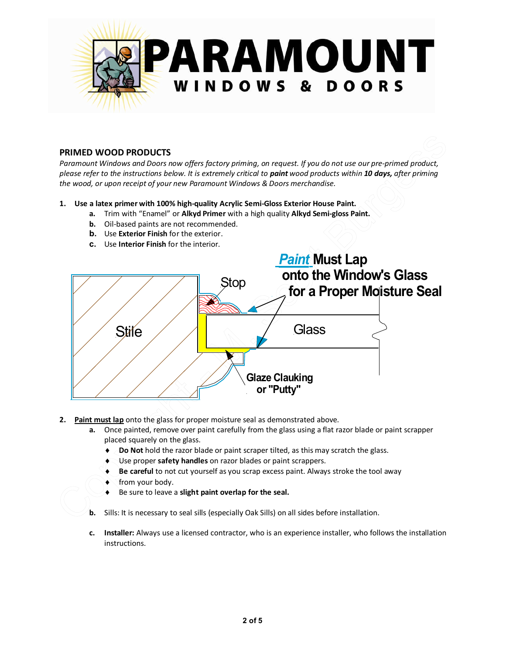

# **PRIMED WOOD PRODUCTS**

*Paramount Windows and Doors now offers factory priming, on request. If you do not use our pre-primed product, please refer to the instructions below. It is extremely critical to paint wood products within 10 days, after priming the wood, or upon receipt of your new Paramount Windows & Doors merchandise.*

# **1. Use a latex primer with 100% high-quality Acrylic Semi-Gloss Exterior House Paint.**

- **a.** Trim with "Enamel" or **Alkyd Primer** with a high quality **Alkyd Semi-gloss Paint.**
	- **b.** Oil-based paints are not recommended.
	- **b.** Use **Exterior Finish** for the exterior.
	- **c.** Use **Interior Finish** for the interior.



- **2. Paint must lap** onto the glass for proper moisture seal as demonstrated above.
	- **a.** Once painted, remove over paint carefully from the glass using a flat razor blade or paint scrapper placed squarely on the glass.
		- **Do Not** hold the razor blade or paint scraper tilted, as this may scratch the glass.
		- Use proper **safety handles** on razor blades or paint scrappers.
		- **Be careful** to not cut yourself as you scrap excess paint. Always stroke the tool away
		- from your body.
		- Be sure to leave a **slight paint overlap for the seal.**
	- **b.** Sills: It is necessary to seal sills (especially Oak Sills) on all sides before installation.
	- **c. Installer:** Always use a licensed contractor, who is an experience installer, who follows the installation instructions.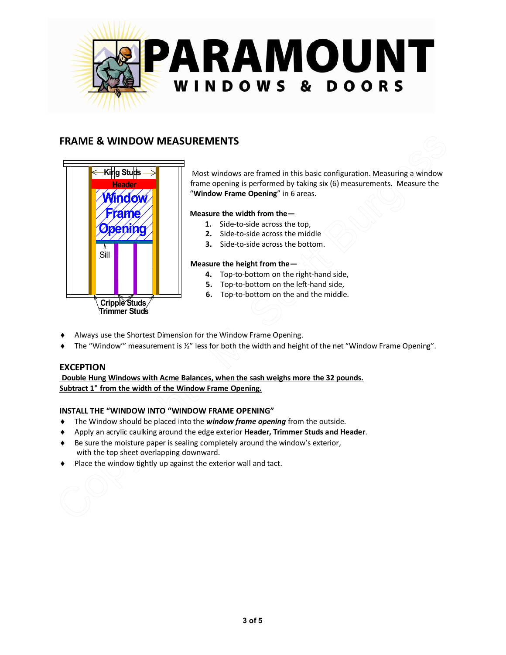![](_page_2_Picture_0.jpeg)

# **FRAME & WINDOW MEASUREMENTS**

![](_page_2_Picture_2.jpeg)

Most windows are framed in this basic configuration. Measuring a window frame opening is performed by taking six (6) measurements. Measure the "Window Frame Opening" in 6 areas.

# **Measure the width from the—**

- **1.** Side-to-side across the top,
- **2.** Side-to-side across the middle
- **3.** Side-to-side across the bottom.

# **Measure the height from the—**

- **4.** Top-to-bottom on the right-hand side,
- **5.** Top-to-bottom on the left-hand side,
- **6.** Top-to-bottom on the and the middle.
- Always use the Shortest Dimension for the Window Frame Opening.
- The "Window" measurement is  $\frac{y}{2}$ " less for both the width and height of the net "Window Frame Opening".

# **EXCEPTION**

**Double Hung Windows with Acme Balances, when the sash weighs more the 32 pounds. Subtract 1" from the width of the Window Frame Opening.**

# **INSTALL THE "WINDOW INTO "WINDOW FRAME OPENING"**

- The Window should be placed into the *window frame opening* from the outside.
- Apply an acrylic caulking around the edge exterior **Header, Trimmer Studs and Header**.
- Be sure the moisture paper is sealing completely around the window's exterior, with the top sheet overlapping downward.
- Place the window tightly up against the exterior wall and tact.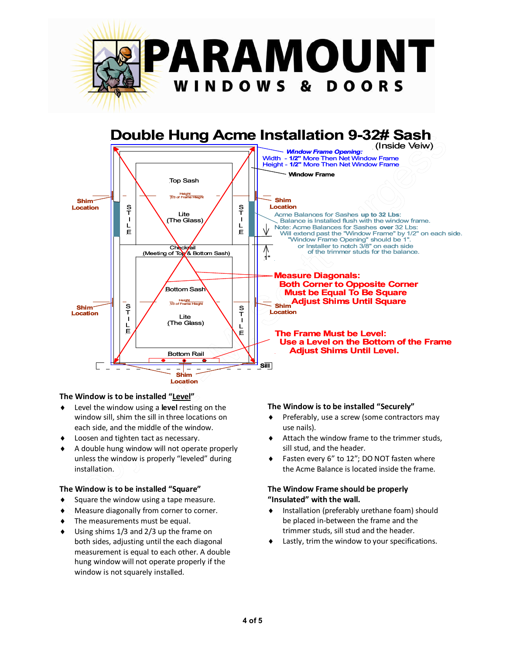![](_page_3_Picture_0.jpeg)

# **Double Hung Acme Installation 9-32# Sash**

![](_page_3_Figure_2.jpeg)

#### **The Window is to be installed "Level"**

- Level the window using a **level** resting on the window sill, shim the sill in three locations on each side, and the middle of the window.
- ◆ Loosen and tighten tact as necessary.
- ◆ A double hung window will not operate properly unless the window is properly "leveled" during installation.

# **The Window is to be installed "Square"**

- Square the window using a tape measure.
- $\blacklozenge$  Measure diagonally from corner to corner.
- The measurements must be equal.
- Using shims 1/3 and 2/3 up the frame on both sides, adjusting until the each diagonal measurement is equal to each other. A double hung window will not operate properly if the window is not squarely installed.

#### **The Window is to be installed "Securely"**

- ◆ Preferably, use a screw (some contractors may use nails).
- Attach the window frame to the trimmer studs, sill stud, and the header.
- ◆ Fasten every 6" to 12"; DO NOT fasten where the Acme Balance is located inside the frame.

# **The Window Frame should be properly "Insulated" with the wall.**

- Installation (preferably urethane foam) should be placed in-between the frame and the trimmer studs, sill stud and the header.
- Lastly, trim the window to your specifications.